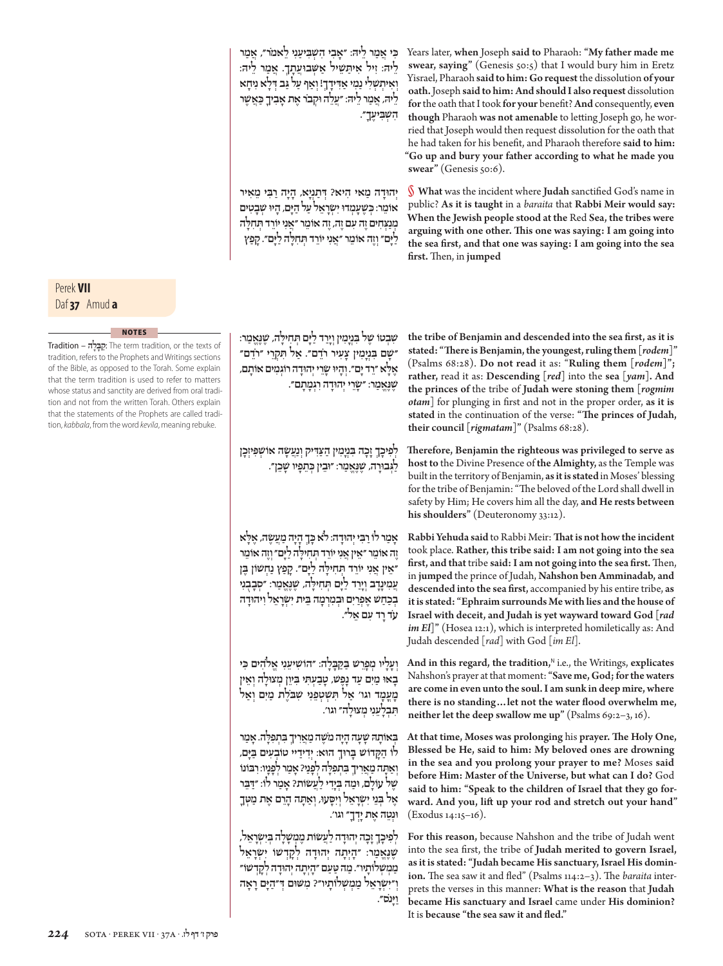# Perek **VII** Daf **37** Amud **a**

#### **NOTES**

 Tradition – **ה ָל ָּב ַק**: The term tradition, or the texts of tradition, refers to the Prophets and Writings sections of the Bible, as opposed to the Torah. Some explain that the term tradition is used to refer to matters whose status and sanctity are derived from oral tradition and not from the written Torah. Others explain that the statements of the Prophets are called tradition, *kabbala*, from the word *kevila*, meaning rebuke.

**שׁ ִ בְ טוֹ שׁ ֶ ל בִּ נְ יָ מִ ין וְ יָ רַ ד לַ יָּ ם ּתְ חִ ּילָ ה, ּשׁ ֶ נֶאֱ מַ ר: ״ש ׁ ָ ם בִּ נְ יָ מִ ין צָ עִ יר רֹדֵ ם״. אַ ל ּתִ קְ רֵ י ״רֹדֵ ם״ ּאֶ לָ א ״רֵ ד יָם״. וְ הָ ּיושָׂ רֵ י יְהוּ דָ ה רוֹגְ מִ ים אוֹתָ ם, ּשׁ ֶ נֶאֱ מַ ר: ״שָׂ רֵ י יְהוּ דָ ה רִ גְ מָ תָ ם״.**

**לְ פִ יכָ ךְ זָ כָ ה בִּ נְ יָ מִ ין ּהַ צַ דִּ יק וְ נַעֲ שָׂ ה אוֹשִּ ׁ ְ פיזְ כָ ן ְּלַ גבוּ רָ ה, ּשׁ ֶ נֶאֱ מַ ר: ״וּבֵ ין ּכְ תֵ פָ יו שׁ ָ כֵ ן״.**

**אָ מַ ר לוֹרַ בִּ י יְהוּ דָ ה: לֹא ּכָ ךְ הָ יָה מַ עֲ שֶׂ ה, ּאֶ לָ א זֶה אוֹמֵ ר ֵ״אין אֲ נִ י יוֹרֵ ד ּתְ חִ ּילָ ה לַ יָּם״וְ זֶה אוֹמֵ ר ֵ״אין אֲ נִ י יוֹרֵ ד ּת ְ חִ ּילָ ה לַ יָּם״. קָ פַ ץ נַ חְ שׁ וֹן בֶּ ן עֲ מִ ינָ דָ ב וְ יָ רַ ד לַ יָּ ם ּתְ חִ ּילָ ה, ּשׁ ֶ נֶאֱ מַ ר: ״ס ְ בָ בֻ נִ י בְ כַ חַ שׁ אֶ פְ רַ יִ ם וּבְ מִ רְ מָ ה בֵּ ית יִ שְׂ רָ אֵ ל וִ יהוּ דָ ה עֹד רָ ד עִ ם אֵ ל״.**

**וְ עָ לָ יו מְ פָ רֵ שׁ ּבַּ קַ בָּ לָ ה: ׁ ִ ״הוֹשיעֵ נִ י אֱ לֹהִ ים ּכִ י בָ ּאו מַ יִ ם עַ ד נָ פֶ שׁ , ּ טָ בַ עְ ת ִ י בִּ יוֵ ן מְ צוּ לָ ה וְ אֵ ין מָ עֳ מָ ד וגו' אַ ל ּתִ שׁ ְ טְ פֵ נִ י שׁ ִ בּ ֹלֶ ת מַ יִ ם וְ אַ ל ּת ִ בְ לָ עֵ נִ י מְ צוּ לָ ה״ וגו'.**

**בְּ אוֹת ּ ָ השׁ ָ עָ ה הָ יָה מֹשׁ ֶ ה מַ אֲ רִ ְיך ּ בִּ תְ פִ לָ ה. אָ מַ ר לוֹ ָּהַ ק ׁדוֹש בָּ רוּ ךְ הוּ א: יְ דִ ידַ יי טוֹב ְ עִ ים בַּ יָּ ם, ּ וְ אַ תָ ה מַ אֲ רִ ְיך ּ בִּ תְ פִ לָ ה לְ פָ נַי? אָ מַ ר לְ פָ נָיו: רִ בּ וֹנוֹ שׁ ֶ ל עוֹלָ ם, וּ מַ ה בְּ יָדִ י לַ עֲ שׂ וֹת? אָ מַ ר לוֹ: ״דַּ בֵּ ר אֶ ל בְּ נֵי יִ שְׂ רָ אֵ ל וְ יִ סָּ ּעו, ּ וְ אַ תָ ה הָ רֵ ם אֶ ת ּמַ ט ְ ךָ וּ נְ טֵ ה אֶ ת יָדְ ךָ ״ וגו'.**

**לְ פִ יכָ ךְ זָ כָ ה יְהוּ דָ ה לַ עֲ שׂ וֹת מֶ מְ שׁ ָ לָ ה בְּ יִ שְׂ רָ אֵ ל, ּשׁ ֶ נֶ אֱ מַ ר: ״הָ יְ תָ ה יְהוּ דָ ה לְ קָ דְ שׁ וֹ יִ שְׂ רָ אֵ ל מַ מְ שׁ ְ ָלוֹתיו״. מַ ה ּטַ עַ ם ״הָ יְ תָ ה יְהוּ דָ ה לְ קָ דְ שׁ וֹ״ וְ ״יִ שְׂ רָ אֵ ל מַ מְ שׁ ְ ָלוֹתיו״? ּמִ ש ׁ וּ ם דְּ ״הַ יָּ ם רָ אָ ה וַ יָּ נֹס״.** **the tribe of Benjamin and descended into the sea fi rst, as it is stated: "Th ere is Benjamin, the youngest, ruling them [***rodem***]"**  (Psalms 68:28). Do not read it as: "Ruling them  $\lceil \text{rodem} \rceil$ "; **rather,** read it as: **Descending [***red***]** into the **sea** [*yam***]. And the princes of** the tribe of **Judah were stoning them [***rogmim otam* for plunging in first and not in the proper order, as it is **stated** in the continuation of the verse: **"Th e princes of Judah,**  their council [*rigmatam*]" (Psalms 68:28).

**Th erefore, Benjamin the righteous was privileged to serve as host to** the Divine Presence of **the Almighty,** as the Temple was built in the territory of Benjamin, **as it is stated** in Moses' blessing for the tribe of Benjamin: "The beloved of the Lord shall dwell in safety by Him; He covers him all the day, **and He rests between**  his shoulders" (Deuteronomy 33:12).

**Rabbi Yehuda said** to Rabbi Meir: **Th at is not how the incident**  took place. **Rather, this tribe said: I am not going into the sea**  first, and that tribe said: I am not going into the sea first. Then, in **jumped** the prince of Judah, **Nahshon ben Amminadab, and descended into the sea fi rst,** accompanied by his entire tribe, **as it is stated: "Ephraim surrounds Me with lies and the house of Israel with deceit, and Judah is yet wayward toward God [***rad im El*<sup>]</sup>" (Hosea 12:1), which is interpreted homiletically as: And Judah descended [*rad*] with God [*im El*].

And in this regard, the tradition,<sup>N</sup> i.e., the Writings, explicates Nahshon's prayer at that moment: **"Save me, God; for the waters are come in even unto the soul. I am sunk in deep mire, where there is no standing…let not the water fl ood overwhelm me, neither let the deep swallow me up"** (Psalms  $69:2-3, 16$ ).

**At that time, Moses was prolonging** his **prayer. Th e Holy One, Blessed be He, said to him: My beloved ones are drowning in the sea and you prolong your prayer to me?** Moses **said before Him: Master of the Universe, but what can I do?** God **said to him: "Speak to the children of Israel that they go forward. And you, lift up your rod and stretch out your hand"**   $(Exodus 14:15-16).$ 

**For this reason,** because Nahshon and the tribe of Judah went into the sea first, the tribe of Judah merited to govern Israel, **as it is stated: "Judah became His sanctuary, Israel His dominion.** The sea saw it and fled" (Psalms 114:2-3). The *baraita* interprets the verses in this manner: **What is the reason** that **Judah became His sanctuary and Israel** came under **His dominion?**  It is **because** "the sea saw it and fled."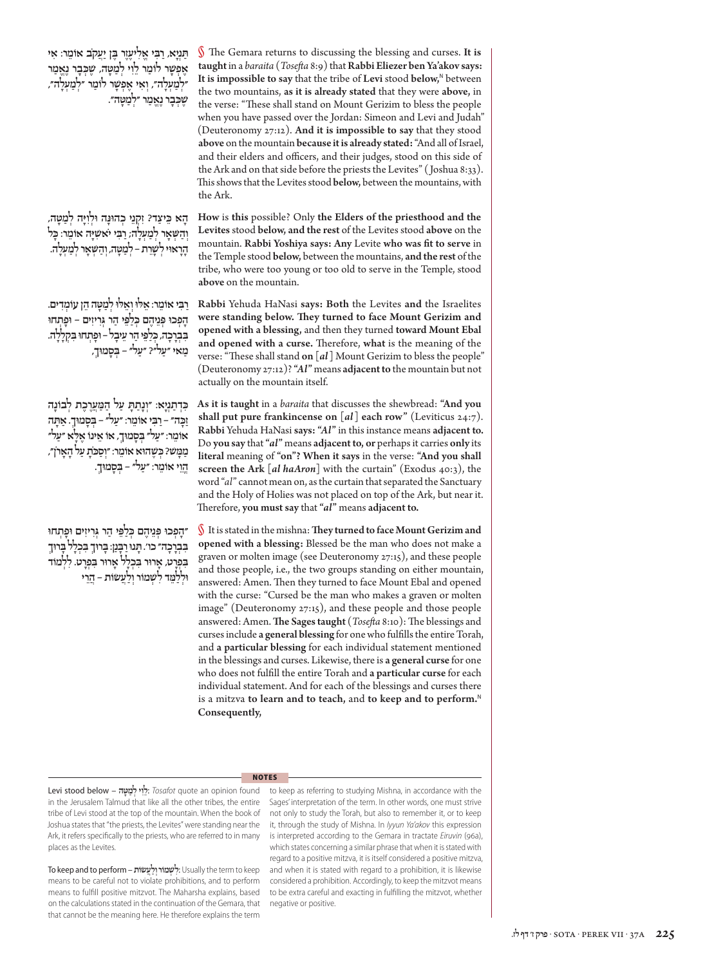**ַּתְנָיא, ַרִּבי ֱאִל ֶיעֶזר ֶּבן ַיֲעקֹב ֵאוֹמר: ִאי ּכָבר ֶנֱאַמר ֶא ְפָׁשר ַלוֹמר ֵלִוי ְלַמ ָּטה, ֶׁשְ ְ״לַמ ְעָלה״, ְו ִאי ֶא ְפָׁשר ַלוֹמר ְ״לַמ ְעָלה״, ּכָברֶנֱאַמר ְ״לַמ ָּטה״. ֶׁשְ**

**ּכ ַיצד? ִז ְקֵני ְכ ּהוָּנה ּו ְלִוָיּה ְלַמ ָּטה, ָהא ֵ ּכל ְוַהְּׁשָאר ְלַמ ְעָלה; ַרִּבי יֹ ׁ ִאשָיּה ֵאוֹמר: ָ ָהָר ּאוי ְל ָׁשֵרת – ְלַמ ָּטה, ְוַהְּׁשָאר ְלַמ ְעָלה.**

**ַרִּבי ֵאוֹמר: ֵא ּלּו ְוֵא ּלּו ְלַמ ָּטה ֵהן ְעוֹמִדים. ּכַלֵּפי ַהר ְּגִר ִיזים – ּוָפ ְת ּחו ָה ְפ ּכו ְּפֵנ ֶיהם ְ ּכַלֵּפי ַהרֵע ָיבל – ּוָפ ְת ּחו ִּב ְקָלָלה. ִּב ְבָרָכה, ְ ַמאי ַ״על״? ַ״על״ – ְּבָס ּמו ְך,**

**ּכְדַתְנָיא: ְ״וָנַת ָּת ַעל ַה ַּמֲעֶרֶכת ְל ָבוֹנה ִ ּכה״ – ַרִּבי ֵאוֹמר: ַ״על״ – ְּבָס ּמו ְך. ַא ָּתה ַזָ ּלא ַ״על״ ֵאוֹמר: ַ״על״ ְּבָס ּמו ְך, אוֹ ֵאינוֹ ֶאָ ּכֶׁש ּהוא ֵאוֹמר: ְ״וַס ּכָֹת ַעל ָהָארֹן״, ַמ ָּמׁש? ְ ֱהֵוי ֵאוֹמר: ַ״על״ – ְּבָס ּמו ְך.**

**ּכַל ֵּפי ַהר ְּגִר ִיזים ּוָפ ְת ּחו ָ״ה ְפ ּכו ְּפֵנ ֶיהם ְ ִּב ְבָרָכה״ כו'. ָּת ּנוַרָּבַנן: ָּב ּרו ְך ִּב ְכָלל ָּב ּרו ְך ִּב ְפָרט, ָא ּרור ִּב ְכָלל ָא ּרור ִּב ְפָרט. ִל ְלמוֹד ּוְלַל ֵּמד ִל ׁ ְשמוֹרְוַלֲע ׂשוֹת – ֲהֵרי**

§ The Gemara returns to discussing the blessing and curses. It is **taught** in a *baraita* (*Toseft a* Ƭ:ƭ) that**Rabbi Eliezer ben Ya'akov says:**  It is impossible to say that the tribe of Levi stood below,<sup>N</sup> between the two mountains, **as it is already stated** that they were **above,** in the verse: "These shall stand on Mount Gerizim to bless the people when you have passed over the Jordan: Simeon and Levi and Judah" (Deuteronomy 27:12). And it is impossible to say that they stood **above** on the mountain **because it is already stated:** "And all of Israel, and their elders and officers, and their judges, stood on this side of the Ark and on that side before the priests the Levites" (Joshua 8:33). This shows that the Levites stood below, between the mountains, with the Ark.

**How** is **this** possible? Only **the Elders of the priesthood and the Levites** stood **below, and the rest** of the Levites stood **above** on the mountain. **Rabbi Yoshiya says: Any** Levite **who was fi t to serve** in the Temple stood **below,** between the mountains, **and the rest** of the tribe, who were too young or too old to serve in the Temple, stood **above** on the mountain.

**Rabbi** Yehuda HaNasi **says: Both** the Levites **and** the Israelites were standing below. They turned to face Mount Gerizim and **opened with a blessing,** and then they turned **toward Mount Ebal**  and opened with a curse. Therefore, what is the meaning of the verse: "These shall stand on [al] Mount Gerizim to bless the people" (Deuteronomy 27:12)? "Al" means adjacent to the mountain but not actually on the mountain itself.

**As it is taught** in a *baraita* that discusses the shewbread: **"And you**  shall put pure frankincense on  $\lceil a \rceil$  each row" (Leviticus 24:7). **Rabbi** Yehuda HaNasi **says: "***Al***"** in this instance means **adjacent to.**  Do **you say** that**"***al***"** means **adjacent to, or** perhaps it carries **only** its **literal** meaning of **"on"? When it says** in the verse: **"And you shall screen the Ark** [*al haAron*] with the curtain" (Exodus 40:3), the word "*al*" cannot mean on, as the curtain that separated the Sanctuary and the Holy of Holies was not placed on top of the Ark, but near it. Th erefore, **you must say** that**"***al***"** means **adjacent to.**

§ It is stated in the mishna: **Th ey turned to face Mount Gerizim and opened with a blessing:** Blessed be the man who does not make a graven or molten image (see Deuteronomy 27:15), and these people and those people, i.e., the two groups standing on either mountain, answered: Amen. Then they turned to face Mount Ebal and opened with the curse: "Cursed be the man who makes a graven or molten image" (Deuteronomy  $27:15$ ), and these people and those people answered: Amen. The Sages taught (Tosefta 8:10): The blessings and curses include a general blessing for one who fulfills the entire Torah, and **a particular blessing** for each individual statement mentioned in the blessings and curses. Likewise, there is **a general curse** for one who does not fulfill the entire Torah and a particular curse for each individual statement. And for each of the blessings and curses there is a mitzva to learn and to teach, and to keep and to perform.<sup>N</sup> **Consequently,** 

## **NOTES**

 Levi stood below – **טהָּ מַלְ ויִלֵ**: *Tosafot* quote an opinion found in the Jerusalem Talmud that like all the other tribes, the entire tribe of Levi stood at the top of the mountain. When the book of Joshua states that "the priests, the Levites" were standing near the Ark, it refers specifically to the priests, who are referred to in many places as the Levites.

 To keep and to perform – **שוֹתׂ עֲלַוְשמוֹרְ ׁ לִ** : Usually the term to keep means to be careful not to violate prohibitions, and to perform means to fulfill positive mitzvot. The Maharsha explains, based on the calculations stated in the continuation of the Gemara, that that cannot be the meaning here. He therefore explains the term

to keep as referring to studying Mishna, in accordance with the Sages' interpretation of the term. In other words, one must strive not only to study the Torah, but also to remember it, or to keep it, through the study of Mishna. In *Iyyun Ya'akov* this expression is interpreted according to the Gemara in tractate *Eiruvin* (96a), which states concerning a similar phrase that when it is stated with regard to a positive mitzva, it is itself considered a positive mitzva, and when it is stated with regard to a prohibition, it is likewise considered a prohibition. Accordingly, to keep the mitzvot means to be extra careful and exacting in fulfilling the mitzvot, whether negative or positive.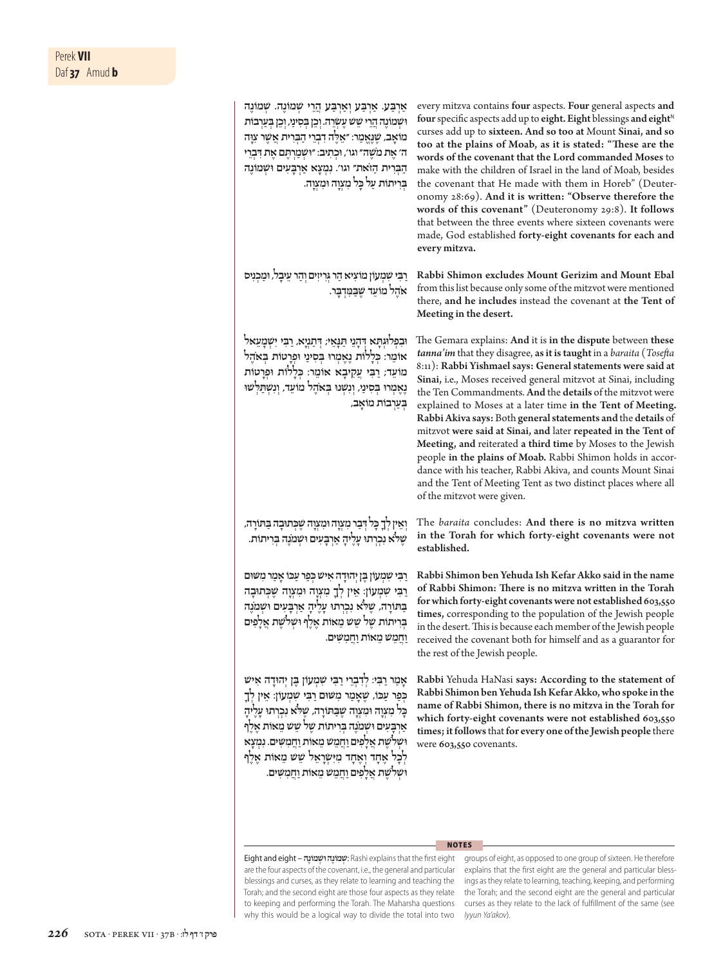| אַרְבַּע. אַרְבַּע וְאַרְבַּע הֲרֵי שְׁמוֹנֶה. שְׁמוֹנֶה<br>וּשְׁמוֹנֶה הֲרֵי שֵׁשׁ עֶשְׂרֵה. וְכֵן בִּסִינַי, וְכֵן בִּעַרְבוֹת<br>מוֹאָב, שֶׁנֶאֱמַר: ״אֵלֶה דִּבְרֵי הַבְּרִית אֲשֶׁר צִוָּה<br>ה׳ אֶת מֹשֶׁה״ וּגו׳, וּכְתִיב: ״וּשְׁמַרְתֶּם אֶת דִּבְרֵי<br>הַבְּרִית הַזֹּאת״ וגו׳. נִמְצָא אַרְבָּעִים וּשְׁמוֹנֶה<br>בִּרִיתוֹת עַל כָּל מְצְוָה וּמְצְוָה.                                                                       | every mitzva contains four aspects. Four general aspects and<br>four specific aspects add up to eight. Eight blessings and eight <sup>N</sup><br>curses add up to sixteen. And so too at Mount Sinai, and so<br>too at the plains of Moab, as it is stated: "These are the<br>words of the covenant that the Lord commanded Moses to<br>make with the children of Israel in the land of Moab, besides<br>the covenant that He made with them in Horeb" (Deuter-<br>onomy 28:69). And it is written: "Observe therefore the<br>words of this covenant" (Deuteronomy 29:8). It follows<br>that between the three events where sixteen covenants were<br>made, God established forty-eight covenants for each and<br>every mitzva.                                                                                            |
|--------------------------------------------------------------------------------------------------------------------------------------------------------------------------------------------------------------------------------------------------------------------------------------------------------------------------------------------------------------------------------------------------------------------------------------------|----------------------------------------------------------------------------------------------------------------------------------------------------------------------------------------------------------------------------------------------------------------------------------------------------------------------------------------------------------------------------------------------------------------------------------------------------------------------------------------------------------------------------------------------------------------------------------------------------------------------------------------------------------------------------------------------------------------------------------------------------------------------------------------------------------------------------|
| רַבִּי שִׁמְעוֹן מוֹצִיא הַר גְּרִיזִים וְהַר עֵיבָל, וּמַכְנִים<br>אֹהֶל מוֹעֵד שֶׁבַּמִּדְבָּר.                                                                                                                                                                                                                                                                                                                                          | Rabbi Shimon excludes Mount Gerizim and Mount Ebal<br>from this list because only some of the mitzvot were mentioned<br>there, and he includes instead the covenant at the Tent of<br>Meeting in the desert.                                                                                                                                                                                                                                                                                                                                                                                                                                                                                                                                                                                                               |
| ּוּבִפְלוּגְתָא דְּהָנֵי תַּנָּאֵי; דְּתַנְיָא, רַבִּי יִשְׁמֲעֵאל<br>אוֹמֵר: כְּלָלוֹת נָאֶמְרוּ בְּסִינַי וּפְרָטוֹת בְּאֹהֶל<br>מוֹעֵד; רַבִּי עֲקִיבָא אוֹמֵר: כִּלַלוֹת וּפִרָטוֹת<br>נֶאֶמְרוּ בְּסִינַי, וְנִשְׁנוּ בְּאֹהֶל מוֹעֵד, וְנִשְׁתַּלְשׁוּ<br>בִעַרְבוֹת מוֹאֵב,                                                                                                                                                         | The Gemara explains: And it is in the dispute between these<br>tanna'im that they disagree, as it is taught in a baraita (Tosefta<br>8:11): Rabbi Yishmael says: General statements were said at<br>Sinai, i.e., Moses received general mitzvot at Sinai, including<br>the Ten Commandments. And the details of the mitzvot were<br>explained to Moses at a later time in the Tent of Meeting.<br>Rabbi Akiva says: Both general statements and the details of<br>mitzvot were said at Sinai, and later repeated in the Tent of<br>Meeting, and reiterated a third time by Moses to the Jewish<br>people in the plains of Moab. Rabbi Shimon holds in accor-<br>dance with his teacher, Rabbi Akiva, and counts Mount Sinai<br>and the Tent of Meeting Tent as two distinct places where all<br>of the mitzvot were given. |
| וְאֵין לְךָ כָּל דְּבַר מִצְנָה וּמִצְנָה שֶׁכְּתוּבָה בַּתּוֹרָה,<br>.<br>שלא נכרתו עליה אַרְבָּעִים וּשְׁמֹנֶה בִּרִיתוֹת.                                                                                                                                                                                                                                                                                                               | The baraita concludes: And there is no mitzva written<br>in the Torah for which forty-eight covenants were not<br>established.                                                                                                                                                                                                                                                                                                                                                                                                                                                                                                                                                                                                                                                                                             |
| רַבִּי שִׁמְעוֹן בֶּן יְהוּדָה אִישׁ כְּפַר עַכּוֹ אָמַר מִשּׁוּם<br>רַבִּי שִׁמְעוֹן: אֵין לְךָ מִצְוָה וּמִצְוָה שֶׁכְּתוּבָה<br>בַּתּוֹרָה, שֶׁלֹּא נִכְרְתוּ עָלֶיהָ אַרְבָּעִים וּשְׁמֹנֶה<br>בְּרִיתוֹת שֵׁל שֵׁשׁ מֵאוֹת אֵלֵף וּשְׁלֹשֵׁת אֲלַפִּים<br>וַחֲמֵשׁ מֵאוֹת וַחֲמִשִּׁים.                                                                                                                                               | Rabbi Shimon ben Yehuda Ish Kefar Akko said in the name<br>of Rabbi Shimon: There is no mitzva written in the Torah<br>for which forty-eight covenants were not established 603,550<br>times, corresponding to the population of the Jewish people<br>in the desert. This is because each member of the Jewish people<br>received the covenant both for himself and as a guarantor for<br>the rest of the Jewish people.                                                                                                                                                                                                                                                                                                                                                                                                   |
| אָמַר וַבִּי: לְדִבְרֵי וַבִּי שְׁמְעוֹן בֵּן יְהוּדָה אִישׁ<br>כִּפַר עַכּוֹ, שֵׁאֲמַר מִשּׁוּם רַבִּי שְׁמְעָוֹן: אֵין לְךָ<br>כַּל מִצְוָה וּמִצְוָה שָׁבַּתּוֹרָה, שָׁלֹּא נִכְרְתוּ עַלֵיהַ<br>אַרִבָּעִים וּשְׁמֹנֶה בְּרִיתוֹת שֶׁל שֵׁשׁ מֵאוֹת אֶלֶף<br>וּשְׁלֹשֶׁת אֲלַפִּים וַחֲמֵשׁ מֵאוֹת וַחֲמִשִּׁים. נִמְצָא<br>לְכַל אֶחֲד וְאֶחֲד מִיְשְׂרָאֵל שֵׁשׁ מֵאוֹת אֶלֶף<br>וֹשִׁלֹשֵׁת אֲלַפִּים וַחֲמֵשׁ מֵאוֹת וַחֲמִשִּׁים. | Rabbi Yehuda HaNasi says: According to the statement of<br>Rabbi Shimon ben Yehuda Ish Kefar Akko, who spoke in the<br>name of Rabbi Shimon, there is no mitzva in the Torah for<br>which forty-eight covenants were not established 603,550<br>times; it follows that for every one of the Jewish people there<br>were 603,550 covenants.                                                                                                                                                                                                                                                                                                                                                                                                                                                                                 |

# **NOTES**

 Eight and eight – **מוֹנהֶ שְ ׁ וּ מוֹנהֶ שְ ׁ** : Rashi explains that the first eight are the four aspects of the covenant, i.e., the general and particular blessings and curses, as they relate to learning and teaching the Torah; and the second eight are those four aspects as they relate to keeping and performing the Torah. The Maharsha questions why this would be a logical way to divide the total into two

groups of eight, as opposed to one group of sixteen. He therefore explains that the first eight are the general and particular blessings as they relate to learning, teaching, keeping, and performing the Torah; and the second eight are the general and particular curses as they relate to the lack of fulfillment of the same (see *Iyyun Ya'akov*).